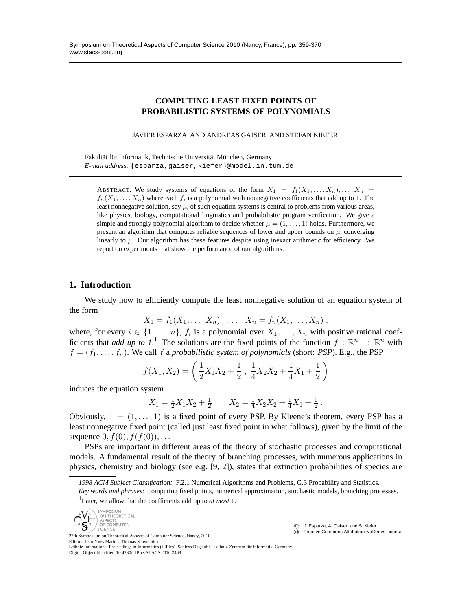## **COMPUTING LEAST FIXED POINTS OF PROBABILISTIC SYSTEMS OF POLYNOMIALS**

JAVIER ESPARZA AND ANDREAS GAISER AND STEFAN KIEFER

Fakultät für Informatik, Technische Universität München, Germany *E-mail address*: {esparza,gaiser,kiefer}@model.in.tum.de

ABSTRACT. We study systems of equations of the form  $X_1 = f_1(X_1, \ldots, X_n), \ldots, X_n =$  $f_n(X_1, \ldots, X_n)$  where each  $f_i$  is a polynomial with nonnegative coefficients that add up to 1. The least nonnegative solution, say  $\mu$ , of such equation systems is central to problems from various areas, like physics, biology, computational linguistics and probabilistic program verification. We give a simple and strongly polynomial algorithm to decide whether  $\mu = (1, \ldots, 1)$  holds. Furthermore, we present an algorithm that computes reliable sequences of lower and upper bounds on  $\mu$ , converging linearly to  $\mu$ . Our algorithm has these features despite using inexact arithmetic for efficiency. We report on experiments that show the performance of our algorithms.

## **1. Introduction**

We study how to efficiently compute the least nonnegative solution of an equation system of the form

$$
X_1 = f_1(X_1, ..., X_n) \quad ... \quad X_n = f_n(X_1, ..., X_n) \; ,
$$

where, for every  $i \in \{1, \ldots, n\}$ ,  $f_i$  is a polynomial over  $X_1, \ldots, X_n$  with positive rational coefficients that *add up to 1*<sup>1</sup>. The solutions are the fixed points of the function  $f : \mathbb{R}^n \to \mathbb{R}^n$  with  $f = (f_1, \ldots, f_n)$ . We call f a *probabilistic system of polynomials* (short: *PSP*). E.g., the PSP

$$
f(X_1, X_2) = \left(\frac{1}{2}X_1X_2 + \frac{1}{2}, \frac{1}{4}X_2X_2 + \frac{1}{4}X_1 + \frac{1}{2}\right)
$$

induces the equation system

$$
X_1 = \frac{1}{2}X_1X_2 + \frac{1}{2} \qquad X_2 = \frac{1}{4}X_2X_2 + \frac{1}{4}X_1 + \frac{1}{2} \, .
$$

Obviously,  $\overline{1} = (1, \ldots, 1)$  is a fixed point of every PSP. By Kleene's theorem, every PSP has a least nonnegative fixed point (called just least fixed point in what follows), given by the limit of the sequence  $\overline{0}$ ,  $f(\overline{0})$ ,  $f(f(\overline{0}))$ , ...

PSPs are important in different areas of the theory of stochastic processes and computational models. A fundamental result of the theory of branching processes, with numerous applications in physics, chemistry and biology (see e.g. [9, 2]), states that extinction probabilities of species are

SYMPOSIUM<br>ON THEORETICAL  $\overline{\mathsf{S}}^{\mathsf{t}}$ ASPECTS OF COMPUTER SCIENCE

 c J. Esparza, A. Gaiser, and S. Kiefer CCC Creative Commons Attribution-NoDerivs License

27th Symposium on Theoretical Aspects of Computer Science, Nancy, 2010 Editors: Jean-Yves Marion, Thomas Schwentick

Leibniz International Proceedings in Informatics (LIPIcs), Schloss Dagstuhl - Leibniz-Zentrum für Informatik, Germany Digital Object Identifier: 10.4230/LIPIcs.STACS.2010.2468

*<sup>1998</sup> ACM Subject Classification:* F.2.1 Numerical Algorithms and Problems, G.3 Probability and Statistics. *Key words and phrases:* computing fixed points, numerical approximation, stochastic models, branching processes. <sup>1</sup>Later, we allow that the coefficients add up to *at most* 1.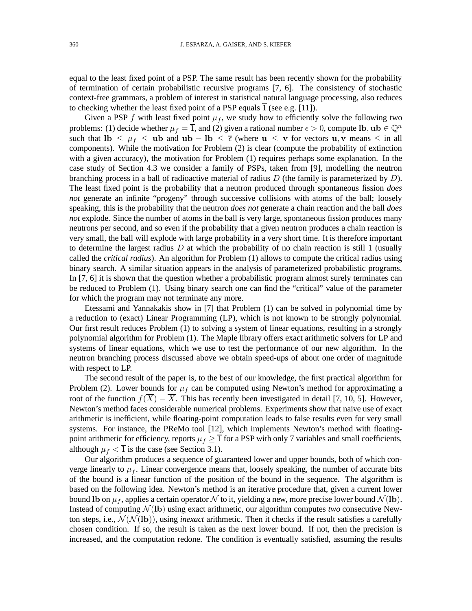equal to the least fixed point of a PSP. The same result has been recently shown for the probability of termination of certain probabilistic recursive programs [7, 6]. The consistency of stochastic context-free grammars, a problem of interest in statistical natural language processing, also reduces to checking whether the least fixed point of a PSP equals  $\overline{1}$  (see e.g. [11]).

Given a PSP f with least fixed point  $\mu_f$ , we study how to efficiently solve the following two problems: (1) decide whether  $\mu_f = \overline{1}$ , and (2) given a rational number  $\epsilon > 0$ , compute lb,  $\mathbf{u} \mathbf{b} \in \mathbb{Q}^n$ such that lb  $\leq \mu_f \leq$  ub and ub – lb  $\leq \bar{\epsilon}$  (where  $u \leq v$  for vectors  $u, v$  means  $\leq$  in all components). While the motivation for Problem (2) is clear (compute the probability of extinction with a given accuracy), the motivation for Problem (1) requires perhaps some explanation. In the case study of Section 4.3 we consider a family of PSPs, taken from [9], modelling the neutron branching process in a ball of radioactive material of radius  $D$  (the family is parameterized by  $D$ ). The least fixed point is the probability that a neutron produced through spontaneous fission *does not* generate an infinite "progeny" through successive collisions with atoms of the ball; loosely speaking, this is the probability that the neutron *does not* generate a chain reaction and the ball *does not* explode. Since the number of atoms in the ball is very large, spontaneous fission produces many neutrons per second, and so even if the probability that a given neutron produces a chain reaction is very small, the ball will explode with large probability in a very short time. It is therefore important to determine the largest radius  $D$  at which the probability of no chain reaction is still 1 (usually called the *critical radius*). An algorithm for Problem (1) allows to compute the critical radius using binary search. A similar situation appears in the analysis of parameterized probabilistic programs. In [7, 6] it is shown that the question whether a probabilistic program almost surely terminates can be reduced to Problem (1). Using binary search one can find the "critical" value of the parameter for which the program may not terminate any more.

Etessami and Yannakakis show in [7] that Problem (1) can be solved in polynomial time by a reduction to (exact) Linear Programming (LP), which is not known to be strongly polynomial. Our first result reduces Problem (1) to solving a system of linear equations, resulting in a strongly polynomial algorithm for Problem (1). The Maple library offers exact arithmetic solvers for LP and systems of linear equations, which we use to test the performance of our new algorithm. In the neutron branching process discussed above we obtain speed-ups of about one order of magnitude with respect to LP.

The second result of the paper is, to the best of our knowledge, the first practical algorithm for Problem (2). Lower bounds for  $\mu_f$  can be computed using Newton's method for approximating a root of the function  $f(\overline{X}) - \overline{X}$ . This has recently been investigated in detail [7, 10, 5]. However, Newton's method faces considerable numerical problems. Experiments show that naive use of exact arithmetic is inefficient, while floating-point computation leads to false results even for very small systems. For instance, the PReMo tool [12], which implements Newton's method with floatingpoint arithmetic for efficiency, reports  $\mu_f \geq 1$  for a PSP with only 7 variables and small coefficients, although  $\mu_f < \overline{1}$  is the case (see Section 3.1).

Our algorithm produces a sequence of guaranteed lower and upper bounds, both of which converge linearly to  $\mu_f$ . Linear convergence means that, loosely speaking, the number of accurate bits of the bound is a linear function of the position of the bound in the sequence. The algorithm is based on the following idea. Newton's method is an iterative procedure that, given a current lower bound Ib on  $\mu_f$ , applies a certain operator N to it, yielding a new, more precise lower bound  $\mathcal{N}$ (Ib). Instead of computing  $\mathcal{N}(\mathbf{lb})$  using exact arithmetic, our algorithm computes *two* consecutive Newton steps, i.e.,  $\mathcal{N}(\mathcal{N}(\mathbf{lb}))$ , using *inexact* arithmetic. Then it checks if the result satisfies a carefully chosen condition. If so, the result is taken as the next lower bound. If not, then the precision is increased, and the computation redone. The condition is eventually satisfied, assuming the results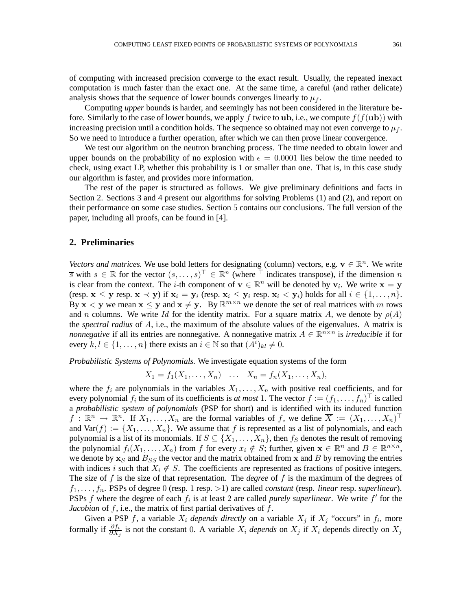of computing with increased precision converge to the exact result. Usually, the repeated inexact computation is much faster than the exact one. At the same time, a careful (and rather delicate) analysis shows that the sequence of lower bounds converges linearly to  $\mu_f$ .

Computing *upper* bounds is harder, and seemingly has not been considered in the literature before. Similarly to the case of lower bounds, we apply f twice to **ub**, i.e., we compute  $f(f(u**b**))$  with increasing precision until a condition holds. The sequence so obtained may not even converge to  $\mu_f$ . So we need to introduce a further operation, after which we can then prove linear convergence.

We test our algorithm on the neutron branching process. The time needed to obtain lower and upper bounds on the probability of no explosion with  $\epsilon = 0.0001$  lies below the time needed to check, using exact LP, whether this probability is 1 or smaller than one. That is, in this case study our algorithm is faster, and provides more information.

The rest of the paper is structured as follows. We give preliminary definitions and facts in Section 2. Sections 3 and 4 present our algorithms for solving Problems (1) and (2), and report on their performance on some case studies. Section 5 contains our conclusions. The full version of the paper, including all proofs, can be found in [4].

## **2. Preliminaries**

*Vectors and matrices.* We use bold letters for designating (column) vectors, e.g.  $v \in \mathbb{R}^n$ . We write  $\overline{s}$  with  $s \in \mathbb{R}$  for the vector  $(s, \ldots, s)^\top \in \mathbb{R}^n$  (where  $\overline{\top}$  indicates transpose), if the dimension n is clear from the context. The *i*-th component of  $v \in \mathbb{R}^n$  will be denoted by  $v_i$ . We write  $x = y$ (resp.  $\mathbf{x} \leq \mathbf{y}$  resp.  $\mathbf{x} \prec \mathbf{y}$ ) if  $\mathbf{x}_i = \mathbf{y}_i$  (resp.  $\mathbf{x}_i \leq \mathbf{y}_i$  resp.  $\mathbf{x}_i \prec \mathbf{y}_i$ ) holds for all  $i \in \{1, \ldots, n\}$ . By  $x < y$  we mean  $x \le y$  and  $x \ne y$ . By  $\mathbb{R}^{m \times n}$  we denote the set of real matrices with m rows and n columns. We write Id for the identity matrix. For a square matrix A, we denote by  $\rho(A)$ the *spectral radius* of A, i.e., the maximum of the absolute values of the eigenvalues. A matrix is *nonnegative* if all its entries are nonnegative. A nonnegative matrix  $A \in \mathbb{R}^{n \times n}$  is *irreducible* if for every  $k, l \in \{1, ..., n\}$  there exists an  $i \in \mathbb{N}$  so that  $(A^i)_{kl} \neq 0$ .

*Probabilistic Systems of Polynomials.* We investigate equation systems of the form

$$
X_1 = f_1(X_1, ..., X_n)
$$
 ...  $X_n = f_n(X_1, ..., X_n)$ ,

where the  $f_i$  are polynomials in the variables  $X_1, \ldots, X_n$  with positive real coefficients, and for every polynomial  $f_i$  the sum of its coefficients is *at most* 1. The vector  $f := (f_1, \ldots, f_n)^\top$  is called a *probabilistic system of polynomials* (PSP for short) and is identified with its induced function  $f: \mathbb{R}^n \to \mathbb{R}^n$ . If  $X_1, \ldots, X_n$  are the formal variables of f, we define  $\overline{X} := (X_1, \ldots, X_n)^\top$ and  $\text{Var}(f) := \{X_1, \ldots, X_n\}$ . We assume that f is represented as a list of polynomials, and each polynomial is a list of its monomials. If  $S \subseteq \{X_1, \ldots, X_n\}$ , then  $f_S$  denotes the result of removing the polynomial  $f_i(X_1,\ldots,X_n)$  from f for every  $x_i \notin S$ ; further, given  $\mathbf{x} \in \mathbb{R}^n$  and  $B \in \mathbb{R}^{n \times n}$ , we denote by  $x_S$  and  $B_{SS}$  the vector and the matrix obtained from x and B by removing the entries with indices i such that  $X_i \notin S$ . The coefficients are represented as fractions of positive integers. The *size* of f is the size of that representation. The *degree* of f is the maximum of the degrees of  $f_1, \ldots, f_n$ . PSPs of degree 0 (resp. 1 resp. >1) are called *constant* (resp. *linear* resp. *superlinear*). PSPs  $f$  where the degree of each  $f_i$  is at least 2 are called *purely superlinear*. We write  $f'$  for the *Jacobian* of f, i.e., the matrix of first partial derivatives of f.

Given a PSP f, a variable  $X_i$  *depends directly* on a variable  $X_j$  if  $X_j$  "occurs" in  $f_i$ , more formally if  $\frac{\partial f_i}{\partial X_j}$  is not the constant 0. A variable  $X_i$  *depends* on  $X_j$  if  $X_i$  depends directly on  $X_j$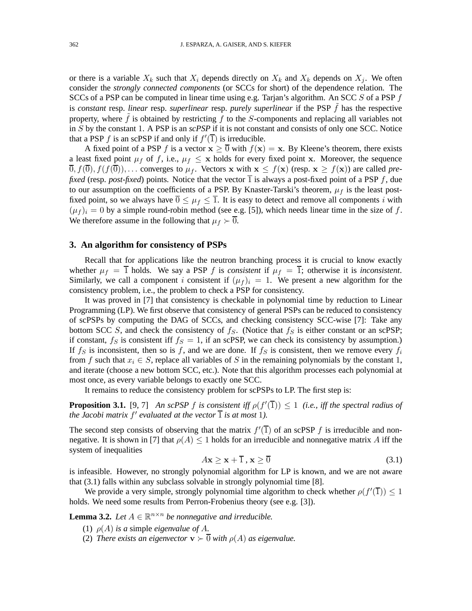or there is a variable  $X_k$  such that  $X_i$  depends directly on  $X_k$  and  $X_k$  depends on  $X_i$ . We often consider the *strongly connected components* (or SCCs for short) of the dependence relation. The SCCs of a PSP can be computed in linear time using e.g. Tarjan's algorithm. An SCC  $S$  of a PSP  $f$ is *constant* resp. *linear* resp. *superlinear* resp. *purely superlinear* if the PSP f has the respective property, where  $\hat{f}$  is obtained by restricting  $f$  to the S-components and replacing all variables not in S by the constant 1. A PSP is an *scPSP* if it is not constant and consists of only one SCC. Notice that a PSP f is an scPSP if and only if  $f'(\overline{1})$  is irreducible.

A fixed point of a PSP f is a vector  $x \ge 0$  with  $f(x) = x$ . By Kleene's theorem, there exists a least fixed point  $\mu_f$  of f, i.e.,  $\mu_f \leq x$  holds for every fixed point x. Moreover, the sequence  $\overline{0}, f(\overline{0}), f(f(\overline{0})), \dots$  converges to  $\mu_f$ . Vectors x with  $x \le f(x)$  (resp.  $x \ge f(x)$ ) are called *prefixed* (resp. *post-fixed*) points. Notice that the vector  $\overline{1}$  is always a post-fixed point of a PSP f, due to our assumption on the coefficients of a PSP. By Knaster-Tarski's theorem,  $\mu_f$  is the least postfixed point, so we always have  $\overline{0} \leq \mu_f \leq \overline{1}$ . It is easy to detect and remove all components i with  $(\mu_f)_i = 0$  by a simple round-robin method (see e.g. [5]), which needs linear time in the size of f. We therefore assume in the following that  $\mu_f \succ \overline{0}$ .

#### **3. An algorithm for consistency of PSPs**

Recall that for applications like the neutron branching process it is crucial to know exactly whether  $\mu_f = \overline{1}$  holds. We say a PSP f is *consistent* if  $\mu_f = \overline{1}$ ; otherwise it is *inconsistent*. Similarly, we call a component i consistent if  $(\mu_f)_i = 1$ . We present a new algorithm for the consistency problem, i.e., the problem to check a PSP for consistency.

It was proved in [7] that consistency is checkable in polynomial time by reduction to Linear Programming (LP). We first observe that consistency of general PSPs can be reduced to consistency of scPSPs by computing the DAG of SCCs, and checking consistency SCC-wise [7]: Take any bottom SCC S, and check the consistency of  $f_S$ . (Notice that  $f_S$  is either constant or an scPSP; if constant,  $f_S$  is consistent iff  $f_S = 1$ , if an scPSP, we can check its consistency by assumption.) If  $f_S$  is inconsistent, then so is f, and we are done. If  $f_S$  is consistent, then we remove every  $f_i$ from f such that  $x_i \in S$ , replace all variables of S in the remaining polynomials by the constant 1, and iterate (choose a new bottom SCC, etc.). Note that this algorithm processes each polynomial at most once, as every variable belongs to exactly one SCC.

It remains to reduce the consistency problem for scPSPs to LP. The first step is:

**Proposition 3.1.** [9, 7] *An scPSP f is consistent iff*  $\rho(f'(\overline{1})) \leq 1$  *(i.e., iff the spectral radius of* the Jacobi matrix  $f'$  evaluated at the vector  $\overline{1}$  is at most 1).

The second step consists of observing that the matrix  $f'(\overline{1})$  of an scPSP f is irreducible and nonnegative. It is shown in [7] that  $\rho(A) \leq 1$  holds for an irreducible and nonnegative matrix A iff the system of inequalities

$$
A\mathbf{x} \ge \mathbf{x} + \overline{1}, \mathbf{x} \ge \overline{0} \tag{3.1}
$$

is infeasible. However, no strongly polynomial algorithm for LP is known, and we are not aware that (3.1) falls within any subclass solvable in strongly polynomial time [8].

We provide a very simple, strongly polynomial time algorithm to check whether  $\rho(f'(\overline{1})) \leq 1$ holds. We need some results from Perron-Frobenius theory (see e.g. [3]).

**Lemma 3.2.** Let  $A \in \mathbb{R}^{n \times n}$  be nonnegative and irreducible.

- (1)  $\rho(A)$  *is a* simple *eigenvalue of* A.
- (2) *There exists an eigenvector*  $\mathbf{v} \succ \overline{0}$  *with*  $\rho(A)$  *as eigenvalue.*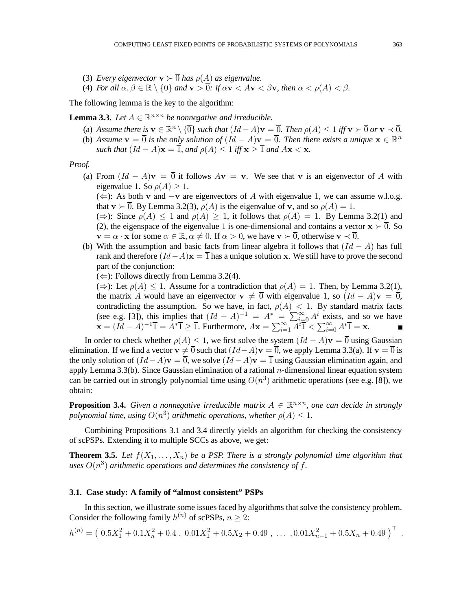- (3) *Every eigenvector*  $\mathbf{v} \succ \overline{0}$  *has*  $\rho(A)$  *as eigenvalue.*
- (4) *For all*  $\alpha, \beta \in \mathbb{R} \setminus \{0\}$  *and*  $\mathbf{v} > \overline{0}$ *: if*  $\alpha \mathbf{v} < A\mathbf{v} < \beta \mathbf{v}$ *, then*  $\alpha < \rho(A) < \beta$ *.*

The following lemma is the key to the algorithm:

**Lemma 3.3.** Let  $A \in \mathbb{R}^{n \times n}$  be nonnegative and irreducible.

- (a) Assume there is  $\mathbf{v} \in \mathbb{R}^n \setminus {\{\overline{0}\}}$  such that  $(Id A)\mathbf{v} = \overline{0}$ . Then  $\rho(A) \leq 1$  iff  $\mathbf{v} \succ \overline{0}$  or  $\mathbf{v} \prec \overline{0}$ .
- (b) Assume  $\mathbf{v} = \overline{0}$  is the only solution of  $(Id A)\mathbf{v} = \overline{0}$ . Then there exists a unique  $\mathbf{x} \in \mathbb{R}^n$ *such that*  $(Id - A)\mathbf{x} = \overline{1}$ *, and*  $\rho(A) \leq 1$  *iff*  $\mathbf{x} > \overline{1}$  *and*  $A\mathbf{x} < \mathbf{x}$ *.*

*Proof.*

(a) From  $(Id - A)\mathbf{v} = \overline{0}$  it follows  $A\mathbf{v} = \mathbf{v}$ . We see that v is an eigenvector of A with eigenvalue 1. So  $\rho(A) > 1$ .

 $(\Leftarrow)$ : As both v and  $-\mathbf{v}$  are eigenvectors of A with eigenvalue 1, we can assume w.l.o.g. that  $\mathbf{v} \succ \overline{0}$ . By Lemma 3.2(3),  $\rho(A)$  is the eigenvalue of v, and so  $\rho(A) = 1$ .

 $(\Rightarrow)$ : Since  $\rho(A) \leq 1$  and  $\rho(A) \geq 1$ , it follows that  $\rho(A) = 1$ . By Lemma 3.2(1) and (2), the eigenspace of the eigenvalue 1 is one-dimensional and contains a vector  $x \succ 0$ . So  $\mathbf{v} = \alpha \cdot \mathbf{x}$  for some  $\alpha \in \mathbb{R}, \alpha \neq 0$ . If  $\alpha > 0$ , we have  $\mathbf{v} \succ \overline{0}$ , otherwise  $\mathbf{v} \prec \overline{0}$ .

- (b) With the assumption and basic facts from linear algebra it follows that  $(Id A)$  has full rank and therefore  $(Id - A)x = \overline{1}$  has a unique solution x. We still have to prove the second part of the conjunction:
	- $(\Leftarrow)$ : Follows directly from Lemma 3.2(4).

 $(\Rightarrow)$ : Let  $\rho(A) \leq 1$ . Assume for a contradiction that  $\rho(A) = 1$ . Then, by Lemma 3.2(1), the matrix A would have an eigenvector  $\mathbf{v} \neq \overline{0}$  with eigenvalue 1, so  $(Id - A)\mathbf{v} = \overline{0}$ , contradicting the assumption. So we have, in fact,  $\rho(A) < 1$ . By standard matrix facts (see e.g. [3]), this implies that  $(Id - A)^{-1} = A^* = \sum_{i=0}^{\infty} A^i$  exists, and so we have  $\mathbf{x} = (Id - A)^{-1}\overline{1} = A^*\overline{1} \geq \overline{1}$ . Furthermore,  $A\mathbf{x} = \sum_{i=1}^{\infty} \overline{A^{i}\overline{1}} < \sum_{i=0}^{\infty} A^{i}\overline{1} = \mathbf{x}$ .

In order to check whether  $\rho(A) \leq 1$ , we first solve the system  $(Id - A)\mathbf{v} = \overline{0}$  using Gaussian elimination. If we find a vector  $\mathbf{v} \neq \overline{0}$  such that  $(Id - A)\mathbf{v} = \overline{0}$ , we apply Lemma 3.3(a). If  $\mathbf{v} = \overline{0}$  is the only solution of  $(Id - A)\mathbf{v} = \overline{0}$ , we solve  $(Id - A)\mathbf{v} = \overline{1}$  using Gaussian elimination again, and apply Lemma 3.3(b). Since Gaussian elimination of a rational  $n$ -dimensional linear equation system can be carried out in strongly polynomial time using  $O(n^3)$  arithmetic operations (see e.g. [8]), we obtain:

**Proposition 3.4.** Given a nonnegative irreducible matrix  $A \in \mathbb{R}^{n \times n}$ , one can decide in strongly *polynomial time, using*  $O(n^3)$  *arithmetic operations, whether*  $\rho(A) \leq 1$ *.* 

Combining Propositions 3.1 and 3.4 directly yields an algorithm for checking the consistency of scPSPs. Extending it to multiple SCCs as above, we get:

**Theorem 3.5.** Let  $f(X_1, \ldots, X_n)$  be a PSP. There is a strongly polynomial time algorithm that uses  $O(n^3)$  arithmetic operations and determines the consistency of f.

#### **3.1. Case study: A family of "almost consistent" PSPs**

In this section, we illustrate some issues faced by algorithms that solve the consistency problem. Consider the following family  $h^{(n)}$  of scPSPs,  $n \geq 2$ :

$$
h^{(n)} = (0.5X_1^2 + 0.1X_n^2 + 0.4, 0.01X_1^2 + 0.5X_2 + 0.49, \dots, 0.01X_{n-1}^2 + 0.5X_n + 0.49)^{\top}
$$

.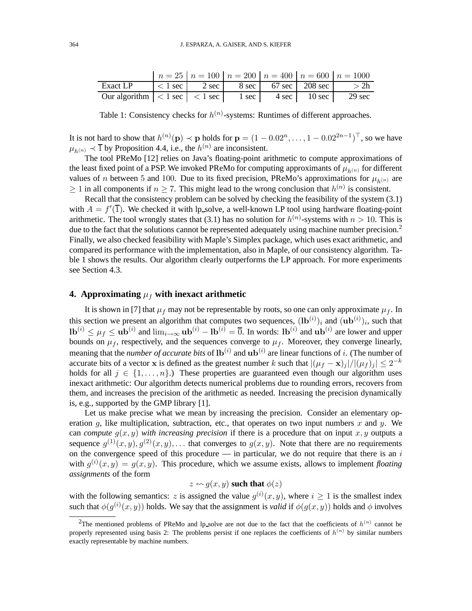|                                                                                 |  |  | $n = 25$   $n = 100$   $n = 200$   $n = 400$   $n = 600$   $n = 1000$ |
|---------------------------------------------------------------------------------|--|--|-----------------------------------------------------------------------|
| Exact LP $ < 1$ sec $ $ 2 sec $ $ 8 sec $ $ 67 sec $ $ 208 sec $ $ > 2h         |  |  |                                                                       |
| Our algorithm $ $ < 1 sec $ $ < 1 sec $ $ 1 sec $ $ 4 sec $ $ 10 sec $ $ 29 sec |  |  |                                                                       |

Table 1: Consistency checks for  $h^{(n)}$ -systems: Runtimes of different approaches.

It is not hard to show that  $h^{(n)}(\mathbf{p}) \prec \mathbf{p}$  holds for  $\mathbf{p} = (1 - 0.02^n, \dots, 1 - 0.02^{2n-1})^{\top}$ , so we have  $\mu_{h^{(n)}} \prec \overline{1}$  by Proposition 4.4, i.e., the  $h^{(n)}$  are inconsistent.

The tool PReMo [12] relies on Java's floating-point arithmetic to compute approximations of the least fixed point of a PSP. We invoked PReMo for computing approximants of  $\mu_{h^{(n)}}$  for different values of n between 5 and 100. Due to its fixed precision, PReMo's approximations for  $\mu_{h(n)}$  are  $\geq 1$  in all components if  $n \geq 7$ . This might lead to the wrong conclusion that  $h^{(n)}$  is consistent.

Recall that the consistency problem can be solved by checking the feasibility of the system (3.1) with  $A = f'(\overline{1})$ . We checked it with lp\_solve, a well-known LP tool using hardware floating-point arithmetic. The tool wrongly states that (3.1) has no solution for  $h^{(n)}$ -systems with  $n > 10$ . This is due to the fact that the solutions cannot be represented adequately using machine number precision.<sup>2</sup> Finally, we also checked feasibility with Maple's Simplex package, which uses exact arithmetic, and compared its performance with the implementation, also in Maple, of our consistency algorithm. Table 1 shows the results. Our algorithm clearly outperforms the LP approach. For more experiments see Section 4.3.

# **4. Approximating**  $\mu_f$  with inexact arithmetic

It is shown in [7] that  $\mu_f$  may not be representable by roots, so one can only approximate  $\mu_f$ . In this section we present an algorithm that computes two sequences,  $(\mathbf{lb}^{(i)})_i$  and  $(\mathbf{ub}^{(i)})_i$ , such that  $\mathbf{lb}^{(i)} \leq \mu_f \leq \mathbf{ub}^{(i)}$  and  $\lim_{i \to \infty} \mathbf{ub}^{(i)} - \mathbf{lb}^{(i)} = \overline{0}$ . In words:  $\mathbf{lb}^{(i)}$  and  $\mathbf{ub}^{(i)}$  are lower and upper bounds on  $\mu_f$ , respectively, and the sequences converge to  $\mu_f$ . Moreover, they converge linearly, meaning that the *number of accurate bits* of  $\mathbf{lb}^{(i)}$  and  $\mathbf{ub}^{(i)}$  are linear functions of i. (The number of accurate bits of a vector x is defined as the greatest number k such that  $|(\mu_f - \mathbf{x})_j|/|(\mu_f)_j| \leq 2^{-k}$ holds for all  $j \in \{1, \ldots, n\}$ .) These properties are guaranteed even though our algorithm uses inexact arithmetic: Our algorithm detects numerical problems due to rounding errors, recovers from them, and increases the precision of the arithmetic as needed. Increasing the precision dynamically is, e.g., supported by the GMP library [1].

Let us make precise what we mean by increasing the precision. Consider an elementary operation g, like multiplication, subtraction, etc., that operates on two input numbers x and y. We can *compute*  $g(x, y)$  *with increasing precision* if there is a procedure that on input x, y outputs a sequence  $g^{(1)}(x,y), g^{(2)}(x,y), \ldots$  that converges to  $g(x,y)$ . Note that there are no requirements on the convergence speed of this procedure  $-$  in particular, we do not require that there is an i with  $g^{(i)}(x, y) = g(x, y)$ . This procedure, which we assume exists, allows to implement *floating assignments* of the form

## $z \leftrightarrow g(x, y)$  such that  $\phi(z)$

with the following semantics: z is assigned the value  $g^{(i)}(x, y)$ , where  $i \ge 1$  is the smallest index such that  $\phi(g^{(i)}(x, y))$  holds. We say that the assignment is *valid* if  $\phi(g(x, y))$  holds and  $\phi$  involves

<sup>&</sup>lt;sup>2</sup>The mentioned problems of PReMo and lp\_solve are not due to the fact that the coefficients of  $h^{(n)}$  cannot be properly represented using basis 2: The problems persist if one replaces the coefficients of  $h^{(n)}$  by similar numbers exactly representable by machine numbers.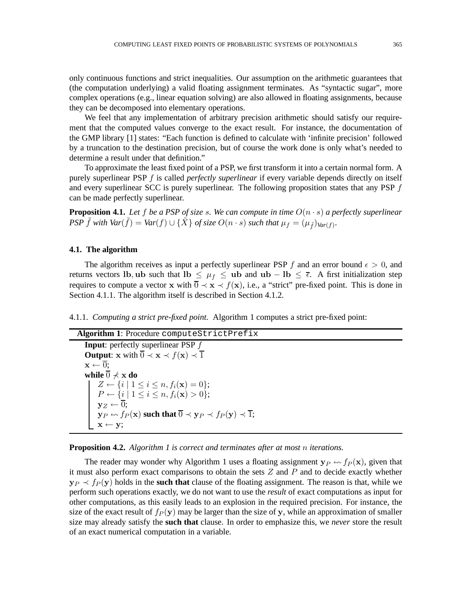only continuous functions and strict inequalities. Our assumption on the arithmetic guarantees that (the computation underlying) a valid floating assignment terminates. As "syntactic sugar", more complex operations (e.g., linear equation solving) are also allowed in floating assignments, because they can be decomposed into elementary operations.

We feel that any implementation of arbitrary precision arithmetic should satisfy our requirement that the computed values converge to the exact result. For instance, the documentation of the GMP library [1] states: "Each function is defined to calculate with 'infinite precision' followed by a truncation to the destination precision, but of course the work done is only what's needed to determine a result under that definition."

To approximate the least fixed point of a PSP, we first transform it into a certain normal form. A purely superlinear PSP f is called *perfectly superlinear* if every variable depends directly on itself and every superlinear SCC is purely superlinear. The following proposition states that any PSP  $f$ can be made perfectly superlinear.

**Proposition 4.1.** Let f be a PSP of size s. We can compute in time  $O(n \cdot s)$  a perfectly superlinear *PSP*  $\tilde{f}$  *with*  $Var(\tilde{f}) = Var(f) \cup {\tilde{X}}$  *of size*  $O(n \cdot s)$  *such that*  $\mu_f = (\mu_{\tilde{f}})_{Var(f)}$ *.* 

#### **4.1. The algorithm**

The algorithm receives as input a perfectly superlinear PSP f and an error bound  $\epsilon > 0$ , and returns vectors lb, ub such that lb  $\leq \mu_f \leq$  ub and ub – lb  $\leq \bar{\epsilon}$ . A first initialization step requires to compute a vector x with  $\overline{0} \prec x \prec f(x)$ , i.e., a "strict" pre-fixed point. This is done in Section 4.1.1. The algorithm itself is described in Section 4.1.2.

4.1.1. *Computing a strict pre-fixed point.* Algorithm 1 computes a strict pre-fixed point:

```
Algorithm 1: Procedure computeStrictPrefix
```
**Input**: perfectly superlinear PSP f **Output:** x with  $\overline{0} \prec x \prec f(x) \prec \overline{1}$  $\mathbf{x} \leftarrow \overline{0}$ ; **while**  $\overline{0} \nless x$  **do**  $Z \leftarrow \{i \mid 1 \leq i \leq n, f_i(\mathbf{x}) = 0\};$  $P \leftarrow \{i \mid 1 \leq i \leq n, f_i(\mathbf{x}) > 0\};$  $y_Z \leftarrow \overline{0};$  $\mathbf{y}_P \rightsquigarrow f_P(\mathbf{x})$  such that  $\overline{0} \prec \mathbf{y}_P \prec f_P(\mathbf{y}) \prec \overline{1}$ ;  $\mathbf{x} \leftarrow \mathbf{y}$ ;

**Proposition 4.2.** *Algorithm 1 is correct and terminates after at most* n *iterations.*

The reader may wonder why Algorithm 1 uses a floating assignment  $y_P \leftarrow f_P(x)$ , given that it must also perform exact comparisons to obtain the sets  $Z$  and  $P$  and to decide exactly whether  $y_P \prec f_P(y)$  holds in the **such that** clause of the floating assignment. The reason is that, while we perform such operations exactly, we do not want to use the *result* of exact computations as input for other computations, as this easily leads to an explosion in the required precision. For instance, the size of the exact result of  $f_P(y)$  may be larger than the size of y, while an approximation of smaller size may already satisfy the **such that** clause. In order to emphasize this, we *never* store the result of an exact numerical computation in a variable.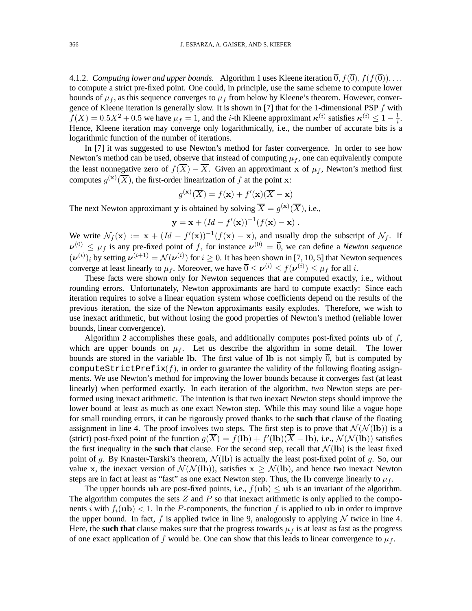4.1.2. *Computing lower and upper bounds.* Algorithm 1 uses Kleene iteration  $\overline{0}$ ,  $f(\overline{0})$ ,  $f(f(\overline{0}))$ , ... to compute a strict pre-fixed point. One could, in principle, use the same scheme to compute lower bounds of  $\mu_f$ , as this sequence converges to  $\mu_f$  from below by Kleene's theorem. However, convergence of Kleene iteration is generally slow. It is shown in [7] that for the 1-dimensional PSP  $f$  with  $f(X) = 0.5X^2 + 0.5$  we have  $\mu_f = 1$ , and the *i*-th Kleene approximant  $\kappa^{(i)}$  satisfies  $\kappa^{(i)} \leq 1 - \frac{1}{i}$ . Hence, Kleene iteration may converge only logarithmically, i.e., the number of accurate bits is a logarithmic function of the number of iterations.

In [7] it was suggested to use Newton's method for faster convergence. In order to see how Newton's method can be used, observe that instead of computing  $\mu_f$ , one can equivalently compute the least nonnegative zero of  $f(\overline{X}) - \overline{X}$ . Given an approximant x of  $\mu_f$ , Newton's method first computes  $g^{(\mathbf{x})}(\overline{X})$ , the first-order linearization of f at the point x:

$$
g^{(\mathbf{x})}(\overline{X}) = f(\mathbf{x}) + f'(\mathbf{x})(\overline{X} - \mathbf{x})
$$

The next Newton approximant y is obtained by solving  $\overline{X} = g^{(x)}(\overline{X})$ , i.e.,

$$
\mathbf{y} = \mathbf{x} + (Id - f'(\mathbf{x}))^{-1}(f(\mathbf{x}) - \mathbf{x}).
$$

We write  $\mathcal{N}_f(\mathbf{x}) := \mathbf{x} + (Id - f'(\mathbf{x}))^{-1}(f(\mathbf{x}) - \mathbf{x})$ , and usually drop the subscript of  $\mathcal{N}_f$ . If  $\nu^{(0)} \leq \mu_f$  is any pre-fixed point of f, for instance  $\nu^{(0)} = \overline{0}$ , we can define a *Newton sequence*  $(\boldsymbol{\nu}^{(i)})_i$  by setting  $\boldsymbol{\nu}^{(i+1)} = \mathcal{N}(\boldsymbol{\nu}^{(i)})$  for  $i \geq 0$ . It has been shown in [7, 10, 5] that Newton sequences converge at least linearly to  $\mu_f$ . Moreover, we have  $\overline{0} \le \nu^{(i)} \le f(\nu^{(i)}) \le \mu_f$  for all *i*.

These facts were shown only for Newton sequences that are computed exactly, i.e., without rounding errors. Unfortunately, Newton approximants are hard to compute exactly: Since each iteration requires to solve a linear equation system whose coefficients depend on the results of the previous iteration, the size of the Newton approximants easily explodes. Therefore, we wish to use inexact arithmetic, but without losing the good properties of Newton's method (reliable lower bounds, linear convergence).

Algorithm 2 accomplishes these goals, and additionally computes post-fixed points ub of  $f$ , which are upper bounds on  $\mu_f$ . Let us describe the algorithm in some detail. The lower bounds are stored in the variable lb. The first value of lb is not simply  $\overline{0}$ , but is computed by computeStrictPrefix $(f)$ , in order to guarantee the validity of the following floating assignments. We use Newton's method for improving the lower bounds because it converges fast (at least linearly) when performed exactly. In each iteration of the algorithm, *two* Newton steps are performed using inexact arithmetic. The intention is that two inexact Newton steps should improve the lower bound at least as much as one exact Newton step. While this may sound like a vague hope for small rounding errors, it can be rigorously proved thanks to the **such that** clause of the floating assignment in line 4. The proof involves two steps. The first step is to prove that  $\mathcal{N}(\mathcal{N}(\mathbf{lb}))$  is a (strict) post-fixed point of the function  $g(\overline{X}) = f(\mathbf{lb}) + f'(\mathbf{lb})(\overline{X} - \mathbf{lb})$ , i.e.,  $\mathcal{N}(\mathcal{N}(\mathbf{lb}))$  satisfies the first inequality in the **such that** clause. For the second step, recall that  $\mathcal{N}$ (Ib) is the least fixed point of g. By Knaster-Tarski's theorem,  $\mathcal{N}(\mathbf{lb})$  is actually the least post-fixed point of g. So, our value x, the inexact version of  $\mathcal{N}(\mathcal{N}(lb))$ , satisfies  $x \geq \mathcal{N}(lb)$ , and hence two inexact Newton steps are in fact at least as "fast" as one exact Newton step. Thus, the Ib converge linearly to  $\mu_f$ .

The upper bounds ub are post-fixed points, i.e.,  $f(\mathbf{ub}) \leq \mathbf{ub}$  is an invariant of the algorithm. The algorithm computes the sets  $Z$  and  $P$  so that inexact arithmetic is only applied to the components i with  $f_i(\mathbf{ub}) < 1$ . In the P-components, the function f is applied to ub in order to improve the upper bound. In fact, f is applied twice in line 9, analogously to applying  $N$  twice in line 4. Here, the **such that** clause makes sure that the progress towards  $\mu_f$  is at least as fast as the progress of one exact application of f would be. One can show that this leads to linear convergence to  $\mu_f$ .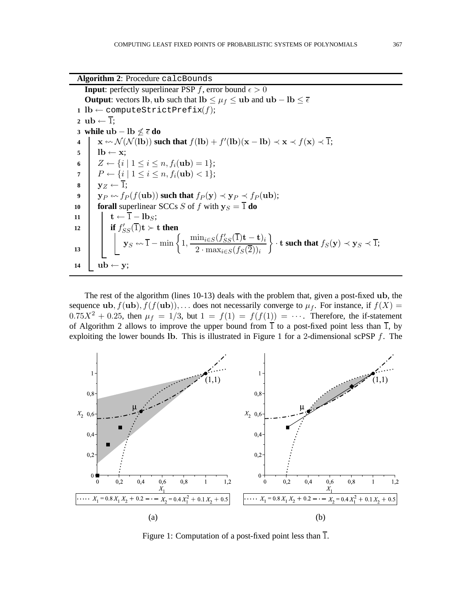**Algorithm 2**: Procedure calcBounds

**Input**: perfectly superlinear PSP f, error bound  $\epsilon > 0$ **Output**: vectors lb, ub such that lb  $\leq \mu_f \leq$  ub and ub − lb  $\leq \overline{\epsilon}$ 1 lb  $\leftarrow$  computeStrictPrefix $(f)$ ; 2 ub  $\leftarrow \overline{1}$ : **3 while ub** − **lb**  $\nleq \overline{\epsilon}$  **do** 4  $\vert$  **x** ←  $\mathcal{N}(\mathcal{N}(lb))$  such that  $f(lb) + f'(lb)(x - lb) \prec x \prec f(x) \prec \overline{1};$ 5 |  $\mathbf{lb} \leftarrow \mathbf{x}$ ; 6  $Z \leftarrow \{i \mid 1 \leq i \leq n, f_i(\textbf{ub}) = 1\};$ **7**  $P \leftarrow \{i \mid 1 \leq i \leq n, f_i(\textbf{ub}) < 1\};$ 8  $y_z \leftarrow \overline{1}$ ; **9**  $\boldsymbol{y}_P \leftarrow f_P(f(\bold{ub}))$  such that  $f_P(\bold{y}) \prec \bold{y}_P \prec f_P(\bold{ub});$ **10 forall** superlinear SCCs S of f with  $y_S = \overline{1}$  **do** 11  $\vert \vert \vert \mathbf{t} \leftarrow \overline{1} - \mathbf{lb}_S;$ **if**  $f'_{SS}(\overline{1})$ **t**  $\succ$  **t then**  $\mathbf{y}_S \leftarrow \overline{1} - \min \left\{ 1, \frac{\min_{i \in S} (f'_{SS}(\overline{1}) \mathbf{t} - \mathbf{t})_i}{(f - \overline{1})_i} \right\}$ 2 · max<sub>i∈S</sub>( $f_S(\overline{2})$ )<sub>i</sub>  $\Big\} \cdot \mathbf{t}$  such that  $f_S(\mathbf{y}) \prec \mathbf{y}_S \prec \overline{1};$ **13** 14  $\mathbf{u} \mathbf{b} \leftarrow \mathbf{y}$ ;

The rest of the algorithm (lines 10-13) deals with the problem that, given a post-fixed ub, the sequence ub,  $f(\text{ub})$ ,  $f(f(\text{ub}))$ ,... does not necessarily converge to  $\mu_f$ . For instance, if  $f(X)$  =  $0.75X^2 + 0.25$ , then  $\mu_f = 1/3$ , but  $1 = f(1) = f(f(1)) = \cdots$ . Therefore, the if-statement of Algorithm 2 allows to improve the upper bound from  $\overline{1}$  to a post-fixed point less than  $\overline{1}$ , by exploiting the lower bounds lb. This is illustrated in Figure 1 for a 2-dimensional scPSP  $f$ . The



Figure 1: Computation of a post-fixed point less than  $\overline{1}$ .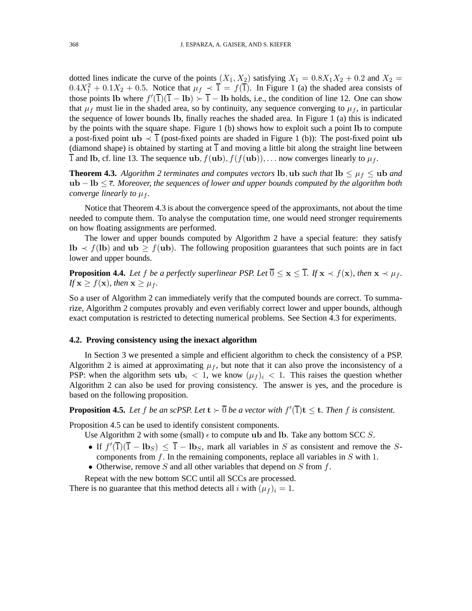dotted lines indicate the curve of the points  $(X_1, X_2)$  satisfying  $X_1 = 0.8X_1X_2 + 0.2$  and  $X_2 =$  $0.4X_1^2 + 0.1X_2 + 0.5$ . Notice that  $\mu_f \prec \overline{1} = f(\overline{1})$ . In Figure 1 (a) the shaded area consists of those points Ib where  $f'(\overline{1})(\overline{1} - lb) \succ \overline{1} - lb$  holds, i.e., the condition of line 12. One can show that  $\mu_f$  must lie in the shaded area, so by continuity, any sequence converging to  $\mu_f$ , in particular the sequence of lower bounds lb, finally reaches the shaded area. In Figure 1 (a) this is indicated by the points with the square shape. Figure 1 (b) shows how to exploit such a point lb to compute a post-fixed point ub  $\prec \overline{1}$  (post-fixed points are shaded in Figure 1 (b)): The post-fixed point ub (diamond shape) is obtained by starting at  $\overline{1}$  and moving a little bit along the straight line between  $\overline{1}$  and lb, cf. line 13. The sequence ub,  $f(\text{ub})$ ,  $f(f(\text{ub}))$ ,... now converges linearly to  $\mu_f$ .

**Theorem 4.3.** *Algorithm 2 terminates and computes vectors* lb, ub *such that*  $\text{lb} \leq \mu_f \leq \text{ub}$  *and* ub – lb ≤  $\bar{\epsilon}$ *. Moreover, the sequences of lower and upper bounds computed by the algorithm both converge linearly to*  $\mu_f$ *.* 

Notice that Theorem 4.3 is about the convergence speed of the approximants, not about the time needed to compute them. To analyse the computation time, one would need stronger requirements on how floating assignments are performed.

The lower and upper bounds computed by Algorithm 2 have a special feature: they satisfy  $\mathbf{lb} \prec f(\mathbf{lb})$  and  $\mathbf{ub} \geq f(\mathbf{ub})$ . The following proposition guarantees that such points are in fact lower and upper bounds.

**Proposition 4.4.** Let f be a perfectly superlinear PSP. Let  $\overline{0} \le x \le \overline{1}$ . If  $x \prec f(x)$ , then  $x \prec \mu_f$ . *If*  $\mathbf{x} \geq f(\mathbf{x})$ *, then*  $\mathbf{x} \geq \mu_f$ *.* 

So a user of Algorithm 2 can immediately verify that the computed bounds are correct. To summarize, Algorithm 2 computes provably and even verifiably correct lower and upper bounds, although exact computation is restricted to detecting numerical problems. See Section 4.3 for experiments.

#### **4.2. Proving consistency using the inexact algorithm**

In Section 3 we presented a simple and efficient algorithm to check the consistency of a PSP. Algorithm 2 is aimed at approximating  $\mu_f$ , but note that it can also prove the inconsistency of a PSP: when the algorithm sets  $\mathbf{u} \mathbf{b}_i < 1$ , we know  $(\mu_f)_i < 1$ . This raises the question whether Algorithm 2 can also be used for proving consistency. The answer is yes, and the procedure is based on the following proposition.

**Proposition 4.5.** Let f be an scPSP. Let  $t > \overline{0}$  be a vector with  $f'(\overline{1})t \leq t$ . Then f is consistent.

Proposition 4.5 can be used to identify consistent components.

Use Algorithm 2 with some (small)  $\epsilon$  to compute ub and lb. Take any bottom SCC S.

- If  $f'(\overline{1})(\overline{1} \text{lb}_S) \le \overline{1} \text{lb}_S$ , mark all variables in S as consistent and remove the Scomponents from  $f$ . In the remaining components, replace all variables in  $S$  with 1.
- Otherwise, remove  $S$  and all other variables that depend on  $S$  from  $f$ .

Repeat with the new bottom SCC until all SCCs are processed.

There is no guarantee that this method detects all i with  $(\mu_f)_i = 1$ .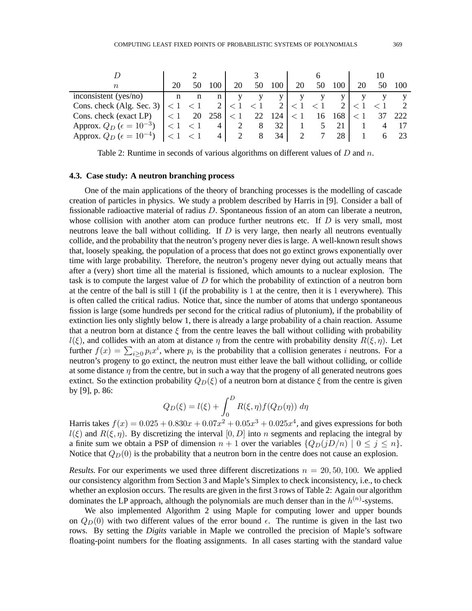|                                        |          | 50                  | 100             | 20       | 50       | 100            | 20       | 50       | 100   | 20 | 50 | 100 |
|----------------------------------------|----------|---------------------|-----------------|----------|----------|----------------|----------|----------|-------|----|----|-----|
| inconsistent (yes/no)                  | n        | n                   | $n_{\parallel}$ |          |          | V <sub>1</sub> |          |          |       |    |    |     |
| Cons. check (Alg. Sec. 3) $ $ < 1 < 1  |          |                     |                 | $\leq 1$ | $\leq 1$ |                |          | $\leq 1$ |       |    |    |     |
| Cons. check (exact LP)                 | $\leq 1$ | 20                  | 258             | $\leq 1$ | 22       | 124            | $\leq 1$ | -16      | - 168 |    |    | 222 |
| Approx. $Q_D$ ( $\epsilon = 10^{-3}$ ) |          | $\langle 1 \rangle$ | 4               |          | 8        | 32             |          |          | 21    |    |    |     |
| Approx. $Q_D$ ( $\epsilon = 10^{-4}$ ) |          | $\leq 1$            | 4               |          | 8        | 34             |          |          | 28    |    |    |     |

Table 2: Runtime in seconds of various algorithms on different values of  $D$  and  $n$ .

#### **4.3. Case study: A neutron branching process**

One of the main applications of the theory of branching processes is the modelling of cascade creation of particles in physics. We study a problem described by Harris in [9]. Consider a ball of fissionable radioactive material of radius D. Spontaneous fission of an atom can liberate a neutron, whose collision with another atom can produce further neutrons etc. If  $D$  is very small, most neutrons leave the ball without colliding. If  $D$  is very large, then nearly all neutrons eventually collide, and the probability that the neutron's progeny never dies is large. A well-known result shows that, loosely speaking, the population of a process that does not go extinct grows exponentially over time with large probability. Therefore, the neutron's progeny never dying out actually means that after a (very) short time all the material is fissioned, which amounts to a nuclear explosion. The task is to compute the largest value of  $D$  for which the probability of extinction of a neutron born at the centre of the ball is still 1 (if the probability is 1 at the centre, then it is 1 everywhere). This is often called the critical radius. Notice that, since the number of atoms that undergo spontaneous fission is large (some hundreds per second for the critical radius of plutonium), if the probability of extinction lies only slightly below 1, there is already a large probability of a chain reaction. Assume that a neutron born at distance  $\xi$  from the centre leaves the ball without colliding with probability  $l(\xi)$ , and collides with an atom at distance  $\eta$  from the centre with probability density  $R(\xi, \eta)$ . Let further  $f(x) = \sum_{i \geq 0} p_i x^i$ , where  $p_i$  is the probability that a collision generates i neutrons. For a neutron's progeny to go extinct, the neutron must either leave the ball without colliding, or collide at some distance  $\eta$  from the centre, but in such a way that the progeny of all generated neutrons goes extinct. So the extinction probability  $Q_D(\xi)$  of a neutron born at distance  $\xi$  from the centre is given by [9], p. 86:

$$
Q_D(\xi) = l(\xi) + \int_0^D R(\xi, \eta) f(Q_D(\eta)) d\eta
$$

Harris takes  $f(x) = 0.025 + 0.830x + 0.07x^2 + 0.05x^3 + 0.025x^4$ , and gives expressions for both  $l(\xi)$  and  $R(\xi, \eta)$ . By discretizing the interval [0, D] into n segments and replacing the integral by a finite sum we obtain a PSP of dimension  $n + 1$  over the variables  $\{Q_D(jD/n) \mid 0 \le j \le n\}$ . Notice that  $Q_D(0)$  is the probability that a neutron born in the centre does not cause an explosion.

*Results.* For our experiments we used three different discretizations  $n = 20, 50, 100$ . We applied our consistency algorithm from Section 3 and Maple's Simplex to check inconsistency, i.e., to check whether an explosion occurs. The results are given in the first 3 rows of Table 2: Again our algorithm dominates the LP approach, although the polynomials are much denser than in the  $h^{(n)}$ -systems.

We also implemented Algorithm 2 using Maple for computing lower and upper bounds on  $Q_D(0)$  with two different values of the error bound  $\epsilon$ . The runtime is given in the last two rows. By setting the *Digits* variable in Maple we controlled the precision of Maple's software floating-point numbers for the floating assignments. In all cases starting with the standard value